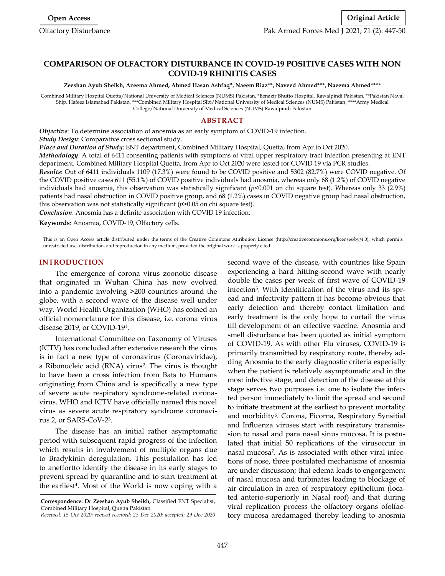# **COMPARISON OF OLFACTORY DISTURBANCE IN COVID-19 POSITIVE CASES WITH NON COVID-19 RHINITIS CASES**

**Zeeshan Ayub Sheikh, Azeema Ahmed, Ahmed Hasan Ashfaq\*, Naeem Riaz\*\*, Naveed Ahmed\*\*\*, Naeema Ahmed\*\*\*\***

Combined Military Hospital Quetta/National University of Medical Sciences (NUMS) Pakistan, \*Benazir Bhutto Hospital, Rawalpindi Pakistan, \*\*Pakistan Naval Ship, Hafeez Islamabad Pakistan, \*\*\*Combined Military Hospital Sibi/National University of Medical Sciences (NUMS) Pakistan, \*\*\*\*Army Medical College/National University of Medical Sciences (NUMS) Rawalpindi Pakistan

#### **ABSTRACT**

*Objective*: To determine association of anosmia as an early symptom of COVID-19 infection. *Study Design*: Comparative cross sectional study.

*Place and Duration of Study*: ENT department, Combined Military Hospital, Quetta, from Apr to Oct 2020.

*Methodology*: A total of 6411 consenting patients with symptoms of viral upper respiratory tract infection presenting at ENT department, Combined Military Hospital Quetta, from Apr to Oct 2020 were tested for COVID 19 via PCR studies.

*Results*: Out of 6411 individuals 1109 (17.3%) were found to be COVID positive and 5302 (82.7%) were COVID negative. Of the COVID positive cases 611 (55.1%) of COVID positive individuals had anosmia, whereas only 68 (1.2%) of COVID negative individuals had anosmia, this observation was statistically significant (*p*<0.001 on chi square test). Whereas only 33 (2.9%) patients had nasal obstruction in COVID positive group, and 68 (1.2%) cases in COVID negative group had nasal obstruction, this observation was not statistically significant (*p*>0.05 on chi square test).

*Conclusion*: Anosmia has a definite association with COVID 19 infection.

**Keywords**: Anosmia, COVID-19, Olfactory cells.

This is an Open Access article distributed under the terms of the Creative Commons Attribution License (http://creativecommons.org/licenses/by/4.0), which permits unrestricted use, distribution, and reproduction in any medium, provided the original work is properly cited.

#### **INTRODUCTION**

The emergence of corona virus zoonotic disease that originated in Wuhan China has now evolved into a pandemic involving >200 countries around the globe, with a second wave of the disease well under way. World Health Organization (WHO) has coined an official nomenclature for this disease, i.e. corona virus disease 2019, or COVID-19<sup>1</sup> .

International Committee on Taxonomy of Viruses (ICTV) has concluded after extensive research the virus is in fact a new type of coronavirus (Coronaviridae), a Ribonucleic acid (RNA) virus<sup>2</sup>. The virus is thought to have been a cross infection from Bats to Humans originating from China and is specifically a new type of severe acute respiratory syndrome-related coronavirus. WHO and ICTV have officially named this novel virus as severe acute respiratory syndrome coronavirus 2, or SARS-CoV-2 3 .

The disease has an initial rather asymptomatic period with subsequent rapid progress of the infection which results in involvement of multiple organs due to Bradykinin deregulation. This postulation has led to aneffortto identify the disease in its early stages to prevent spread by quarantine and to start treatment at the earliest<sup>4</sup>. Most of the World is now coping with a

*Received: 15 Oct 2020; revised received: 23 Dec 2020; accepted: 29 Dec 2020*

second wave of the disease, with countries like Spain experiencing a hard hitting-second wave with nearly double the cases per week of first wave of COVID-19 infection<sup>5</sup> . With identification of the virus and its spread and infectivity pattern it has become obvious that early detection and thereby contact limitation and early treatment is the only hope to curtail the virus till development of an effective vaccine. Anosmia and smell disturbance has been quoted as initial symptom of COVID-19. As with other Flu viruses, COVID-19 is primarily transmitted by respiratory route, thereby adding Anosmia to the early diagnostic criteria especially when the patient is relatively asymptomatic and in the most infective stage, and detection of the disease at this stage serves two purposes i.e. one to isolate the infected person immediately to limit the spread and second to initiate treatment at the earliest to prevent mortality and morbidity<sup>6</sup>. Corona, Picorna, Respiratory Synsitial and Influenza viruses start with respiratory transmission to nasal and para nasal sinus mucosa. It is postulated that initial 50 replications of the virusoccur in nasal mucosa<sup>7</sup> . As is associated with other viral infections of nose, three postulated mechanisms of anosmia are under discussion; that edema leads to engorgement of nasal mucosa and turbinates leading to blockage of air circulation in area of respiratory epithelium (located anterio-superiorly in Nasal roof) and that during viral replication process the olfactory organs ofolfactory mucosa aredamaged thereby leading to anosmia

**Correspondence: Dr Zeeshan Ayub Sheikh,** Classified ENT Specialist, Combined Military Hospital, Quetta Pakistan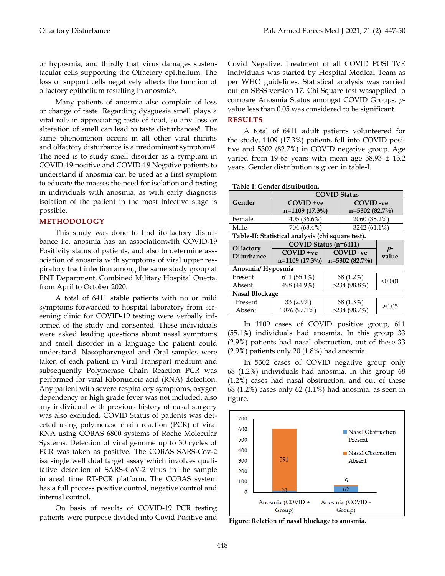or hyposmia, and thirdly that virus damages sustentacular cells supporting the Olfactory epithelium. The loss of support cells negatively affects the function of olfactory epithelium resulting in anosmia<sup>8</sup>.

Many patients of anosmia also complain of loss or change of taste. Regarding dysguesia smell plays a vital role in appreciating taste of food, so any loss or alteration of smell can lead to taste disturbances<sup>9</sup>. The same phenomenon occurs in all other viral rhinitis and olfactory disturbance is a predominant symptom<sup>10</sup>. The need is to study smell disorder as a symptom in COVID-19 positive and COVID-19 Negative patients to understand if anosmia can be used as a first symptom to educate the masses the need for isolation and testing in individuals with anosmia, as with early diagnosis isolation of the patient in the most infective stage is possible.

## **METHODOLOGY**

This study was done to find ifolfactory disturbance i.e. anosmia has an associationwith COVID-19 Positivity status of patients, and also to determine association of anosmia with symptoms of viral upper respiratory tract infection among the same study group at ENT Department, Combined Military Hospital Quetta, from April to October 2020.

A total of 6411 stable patients with no or mild symptoms forwarded to hospital laboratory from screening clinic for COVID-19 testing were verbally informed of the study and consented. These individuals were asked leading questions about nasal symptoms and smell disorder in a language the patient could understand. Nasopharyngeal and Oral samples were taken of each patient in Viral Transport medium and subsequently Polymerase Chain Reaction PCR was performed for viral Ribonucleic acid (RNA) detection. Any patient with severe respiratory symptoms, oxygen dependency or high grade fever was not included, also any individual with previous history of nasal surgery was also excluded. COVID Status of patients was detected using polymerase chain reaction (PCR) of viral RNA using COBAS 6800 systems of Roche Molecular Systems. Detection of viral genome up to 30 cycles of PCR was taken as positive. The COBAS SARS-Cov-2 isa single well dual target assay which involves qualitative detection of SARS-CoV-2 virus in the sample in areal time RT-PCR platform. The COBAS system has a full process positive control, negative control and internal control.

On basis of results of COVID-19 PCR testing patients were purpose divided into Covid Positive and Covid Negative. Treatment of all COVID POSITIVE individuals was started by Hospital Medical Team as per WHO guidelines. Statistical analysis was carried out on SPSS version 17. Chi Square test wasapplied to compare Anosmia Status amongst COVID Groups. *p*value less than 0.05 was considered to be significant.

# **RESULTS**

A total of 6411 adult patients volunteered for the study, 1109 (17.3%) patients fell into COVID positive and 5302 (82.7%) in COVID negative group. Age varied from 19-65 years with mean age  $38.93 \pm 13.2$ years. Gender distribution is given in table-I.

| Table-I: Gender distribution.                     |                       |                                    |                 |               |
|---------------------------------------------------|-----------------------|------------------------------------|-----------------|---------------|
|                                                   | <b>COVID Status</b>   |                                    |                 |               |
| Gender                                            | $COVID +ve$           |                                    | COVID-ve        |               |
|                                                   | $n=1109(17.3\%)$      |                                    | $n=5302(82.7%)$ |               |
| Female                                            | 405 (36.6%)           |                                    | 2060 (38.2%)    |               |
| Male                                              | 704 (63.4%)           |                                    | 3242 (61.1%)    |               |
| Table-II: Statistical analysis (chi square test). |                       |                                    |                 |               |
| <b>Olfactory</b><br><b>Diturbance</b>             | COVID Status (n=6411) |                                    |                 | $p-$<br>value |
|                                                   | $COVID +ve$           | <b>COVID-ve</b><br>$n=5302(82.7%)$ |                 |               |
|                                                   | $n=1109(17.3\%)$      |                                    |                 |               |
| Anosmia/Hyposmia                                  |                       |                                    |                 |               |
|                                                   |                       |                                    |                 |               |
| Present                                           | $611(55.1\%)$         |                                    | 68 (1.2%)       |               |
| Absent                                            | 498 (44.9%)           |                                    | 5234 (98.8%)    | < 0.001       |
| Nasal Blockage                                    |                       |                                    |                 |               |
| Present                                           | 33 (2.9%)             |                                    | 68 (1.3%)       | > 0.05        |

In 1109 cases of COVID positive group, 611 (55.1%) individuals had anosmia. In this group 33 (2.9%) patients had nasal obstruction, out of these 33 (2.9%) patients only 20 (1.8%) had anosmia.

In 5302 cases of COVID negative group only 68 (1.2%) individuals had anosmia. In this group 68 (1.2%) cases had nasal obstruction, and out of these 68 (1.2%) cases only 62 (1.1%) had anosmia, as seen in figure.



**Figure: Relation of nasal blockage to anosmia.**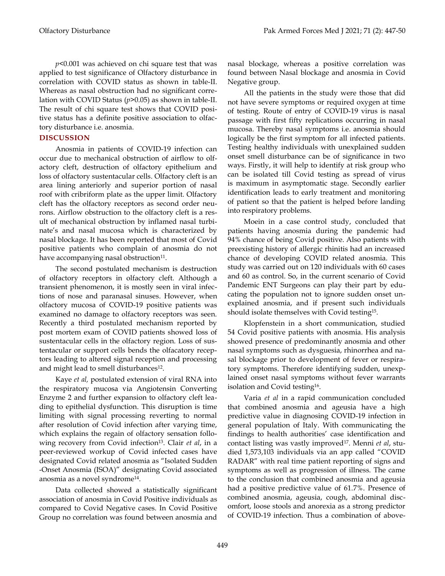*p*<0.001 was achieved on chi square test that was applied to test significance of Olfactory disturbance in correlation with COVID status as shown in table-II. Whereas as nasal obstruction had no significant correlation with COVID Status (*p*>0.05) as shown in table-II. The result of chi square test shows that COVID positive status has a definite positive association to olfactory disturbance i.e. anosmia.

## **DISCUSSION**

Anosmia in patients of COVID-19 infection can occur due to mechanical obstruction of airflow to olfactory cleft, destruction of olfactory epithelium and loss of olfactory sustentacular cells. Olfactory cleft is an area lining anteriorly and superior portion of nasal roof with cribriform plate as the upper limit. Olfactory cleft has the olfactory receptors as second order neurons. Airflow obstruction to the olfactory cleft is a result of mechanical obstruction by inflamed nasal turbinate's and nasal mucosa which is characterized by nasal blockage. It has been reported that most of Covid positive patients who complain of anosmia do not have accompanying nasal obstruction<sup>11</sup>.

The second postulated mechanism is destruction of olfactory receptors in olfactory cleft. Although a transient phenomenon, it is mostly seen in viral infections of nose and paranasal sinuses. However, when olfactory mucosa of COVID-19 positive patients was examined no damage to olfactory receptors was seen. Recently a third postulated mechanism reported by post mortem exam of COVID patients showed loss of sustentacular cells in the olfactory region. Loss of sustentacular or support cells bends the olfacatory receptors leading to altered signal reception and processing and might lead to smell disturbances<sup>12</sup>.

Kaye *et al,* postulated extension of viral RNA into the respiratory mucosa via Angiotensin Converting Enzyme 2 and further expansion to olfactory cleft leading to epithelial dysfunction. This disruption is time limiting with signal processing reverting to normal after resolution of Covid infection after varying time, which explains the regain of olfactory sensation following recovery from Covid infection<sup>13</sup>. Clair *et al*, in a peer-reviewed workup of Covid infected cases have designated Covid related anosmia as "Isolated Sudden -Onset Anosmia (ISOA)" designating Covid associated anosmia as a novel syndrome<sup>14</sup> .

Data collected showed a statistically significant association of anosmia in Covid Positive individuals as compared to Covid Negative cases. In Covid Positive Group no correlation was found between anosmia and

nasal blockage, whereas a positive correlation was found between Nasal blockage and anosmia in Covid Negative group.

All the patients in the study were those that did not have severe symptoms or required oxygen at time of testing. Route of entry of COVID-19 virus is nasal passage with first fifty replications occurring in nasal mucosa. Thereby nasal symptoms i.e. anosmia should logically be the first symptom for all infected patients. Testing healthy individuals with unexplained sudden onset smell disturbance can be of significance in two ways. Firstly, it will help to identify at risk group who can be isolated till Covid testing as spread of virus is maximum in asymptomatic stage. Secondly earlier identification leads to early treatment and monitoring of patient so that the patient is helped before landing into respiratory problems.

Moein in a case control study, concluded that patients having anosmia during the pandemic had 94% chance of being Covid positive. Also patients with preexisting history of allergic rhinitis had an increased chance of developing COVID related anosmia. This study was carried out on 120 individuals with 60 cases and 60 as control. So, in the current scenario of Covid Pandemic ENT Surgeons can play their part by educating the population not to ignore sudden onset unexplained anosmia, and if present such individuals should isolate themselves with Covid testing<sup>15</sup> .

Klopfenstein in a short communication, studied 54 Covid positive patients with anosmia. His analysis showed presence of predominantly anosmia and other nasal symptoms such as dysguesia, rhinorrhea and nasal blockage prior to development of fever or respiratory symptoms. Therefore identifying sudden, unexplained onset nasal symptoms without fever warrants isolation and Covid testing<sup>16</sup> .

Varia *et al* in a rapid communication concluded that combined anosmia and ageusia have a high predictive value in diagnosing COVID-19 infection in general population of Italy. With communicating the findings to health authorities' case identification and contact listing was vastly improved<sup>17</sup> . Menni *et al*, studied 1,573,103 individuals via an app called "COVID RADAR" with real time patient reporting of signs and symptoms as well as progression of illness. The came to the conclusion that combined anosmia and ageusia had a positive predictive value of 61.7%. Presence of combined anosmia, ageusia, cough, abdominal discomfort, loose stools and anorexia as a strong predictor of COVID-19 infection. Thus a combination of above